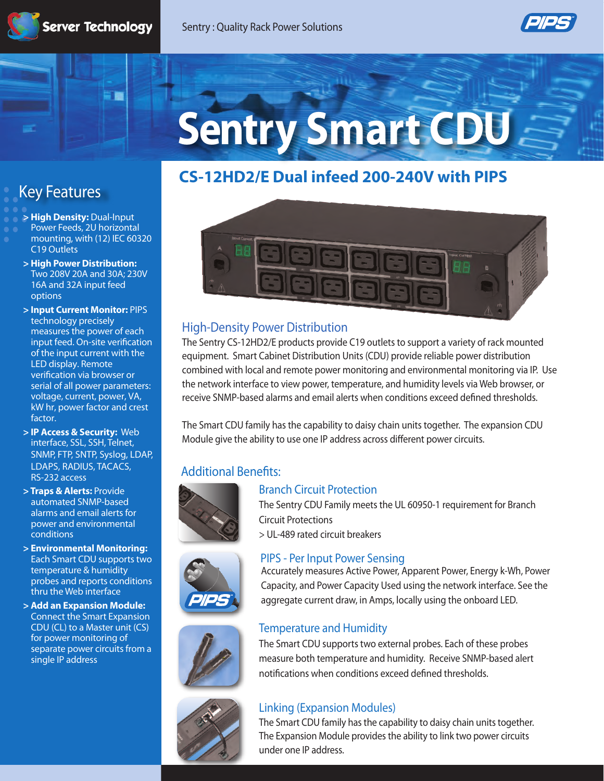

# **Sentry Smart CDU**

## **CS-12HD2/E Dual infeed 200-240V with PIPS**

# **Key Features**

- **> High Density:** Dual-Input
- Power Feeds, 2U horizontal mounting, with (12) IEC 60320 C19 Outlets
- **> High Power Distribution:**  Two 208V 20A and 30A; 230V 16A and 32A input feed options
- **> Input Current Monitor:** PIPS technology precisely measures the power of each input feed. On-site verification of the input current with the LED display. Remote verification via browser or serial of all power parameters: voltage, current, power, VA, kW hr, power factor and crest factor.
- **> IP Access & Security:** Web interface, SSL, SSH, Telnet, SNMP, FTP, SNTP, Syslog, LDAP, LDAPS, RADIUS, TACACS, RS-232 access
- **> Traps & Alerts:** Provide automated SNMP-based alarms and email alerts for power and environmental conditions
- **> Environmental Monitoring:** Each Smart CDU supports two temperature & humidity probes and reports conditions thru the Web interface
- **> Add an Expansion Module:** Connect the Smart Expansion CDU (CL) to a Master unit (CS) for power monitoring of separate power circuits from a single IP address



#### **High-Density Power Distribution**

The Sentry CS-12HD2/E products provide C19 outlets to support a variety of rack mounted equipment. Smart Cabinet Distribution Units (CDU) provide reliable power distribution combined with local and remote power monitoring and environmental monitoring via IP. Use the network interface to view power, temperature, and humidity levels via Web browser, or receive SNMP-based alarms and email alerts when conditions exceed defined thresholds.

The Smart CDU family has the capability to daisy chain units together. The expansion CDU Module give the ability to use one IP address across different power circuits.

## **Additional Benefits:**



#### **Branch Circuit Protection**

The Sentry CDU Family meets the UL 60950-1 requirement for Branch Circuit Protections



> UL-489 rated circuit breakers



#### **PIPS - Per Input Power Sensing**

Accurately measures Active Power, Apparent Power, Energy k-Wh, Power Capacity, and Power Capacity Used using the network interface. See the aggregate current draw, in Amps, locally using the onboard LED.

#### **Temperature and Humidity**

The Smart CDU supports two external probes. Each of these probes measure both temperature and humidity. Receive SNMP-based alert notifications when conditions exceed defined thresholds.



#### **Linking (Expansion Modules)**

The Smart CDU family has the capability to daisy chain units together. The Expansion Module provides the ability to link two power circuits under one IP address.